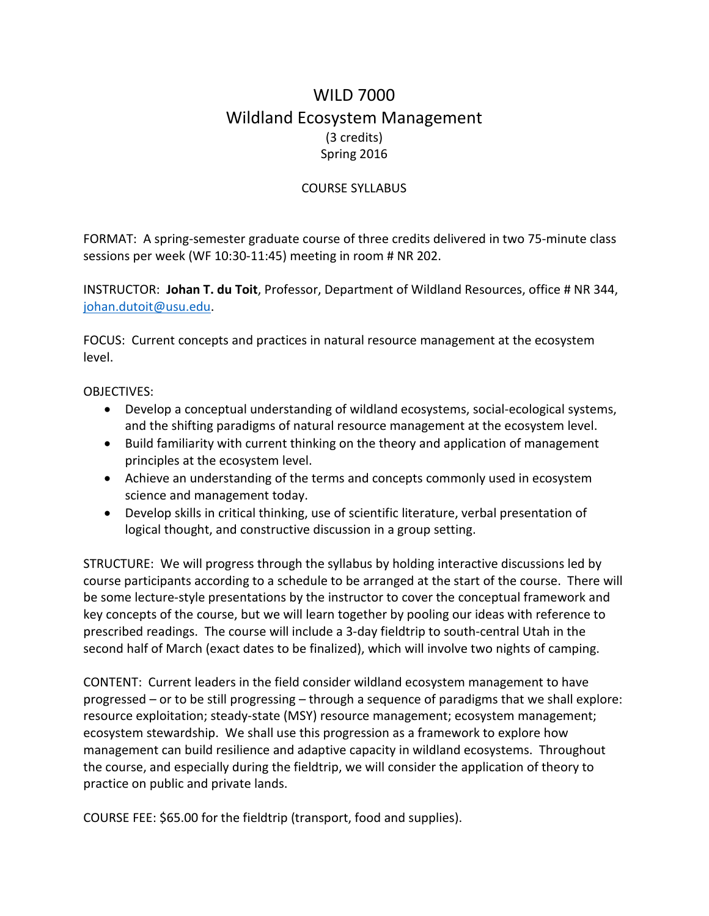## WILD 7000 Wildland Ecosystem Management (3 credits) Spring 2016

## COURSE SYLLABUS

FORMAT: A spring-semester graduate course of three credits delivered in two 75-minute class sessions per week (WF 10:30-11:45) meeting in room # NR 202.

INSTRUCTOR: **Johan T. du Toit**, Professor, Department of Wildland Resources, office # NR 344, [johan.dutoit@usu.edu.](mailto:johan.dutoit@usu.edu)

FOCUS: Current concepts and practices in natural resource management at the ecosystem level.

OBJECTIVES:

- Develop a conceptual understanding of wildland ecosystems, social-ecological systems, and the shifting paradigms of natural resource management at the ecosystem level.
- Build familiarity with current thinking on the theory and application of management principles at the ecosystem level.
- Achieve an understanding of the terms and concepts commonly used in ecosystem science and management today.
- Develop skills in critical thinking, use of scientific literature, verbal presentation of logical thought, and constructive discussion in a group setting.

STRUCTURE: We will progress through the syllabus by holding interactive discussions led by course participants according to a schedule to be arranged at the start of the course. There will be some lecture-style presentations by the instructor to cover the conceptual framework and key concepts of the course, but we will learn together by pooling our ideas with reference to prescribed readings. The course will include a 3-day fieldtrip to south-central Utah in the second half of March (exact dates to be finalized), which will involve two nights of camping.

CONTENT: Current leaders in the field consider wildland ecosystem management to have progressed – or to be still progressing – through a sequence of paradigms that we shall explore: resource exploitation; steady-state (MSY) resource management; ecosystem management; ecosystem stewardship. We shall use this progression as a framework to explore how management can build resilience and adaptive capacity in wildland ecosystems. Throughout the course, and especially during the fieldtrip, we will consider the application of theory to practice on public and private lands.

COURSE FEE: \$65.00 for the fieldtrip (transport, food and supplies).